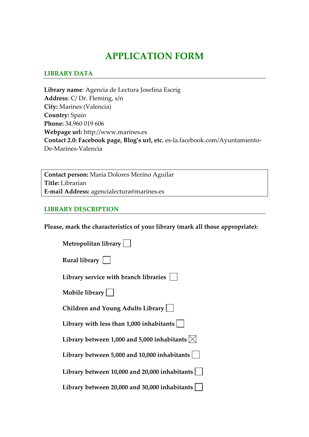# **APPLICATION FORM**

### **LIBRARY DATA**

**Library name**: Agencia de Lectura Josefina Escrig **Address**: C/ Dr. Fleming, s/n **City:** Marines (Valencia) **Country:** Spain **Phone:** 34.960 019 606 **Webpage url:** http://www.marines.es **Contact 2.0: Facebook page, Blog's url, etc.** es‐la.facebook.com/Ayuntamiento‐ De‐Marines‐Valencia

**Contact person:** María Dolores Merino Aguilar **Title:** Librarian **E‐mail Address:** agencialectura@marines.es

#### **LIBRARY DESCRIPTION**

**Please, mark the characteristics of your library (mark all those appropriate):**

| Metropolitan library                                             |
|------------------------------------------------------------------|
| Rural library                                                    |
| Library service with branch libraries $ $                        |
| Mobile library                                                   |
| Children and Young Adults Library                                |
| Library with less than $1,000$ inhabitants $ $                   |
| Library between 1,000 and 5,000 inhabitants $\vert \times \vert$ |
| Library between 5,000 and 10,000 inhabitants                     |
| Library between 10,000 and 20,000 inhabitants                    |
| Library between 20,000 and 30,000 inhabitants                    |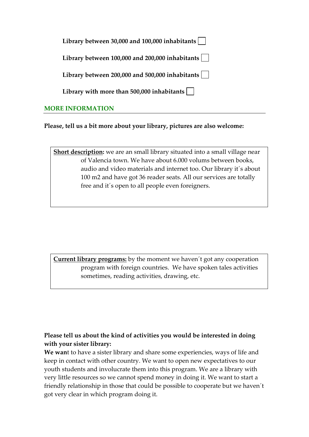| Library between 30,000 and 100,000 inhabitants $\vert \ \ \vert$  |
|-------------------------------------------------------------------|
| Library between $100,000$ and $200,000$ inhabitants $\vert$       |
| Library between 200,000 and 500,000 inhabitants $\vert \ \ \vert$ |
| Library with more than 500,000 inhabitants $\vert \ \ \vert$      |
|                                                                   |

## **MORE INFORMATION**

**Please, tell us a bit more about your library, pictures are also welcome:** 

**Short description:** we are an small library situated into a small village near of Valencia town. We have about 6.000 volums between books, audio and video materials and internet too. Our library it´s about 100 m2 and have got 36 reader seats. All our services are totally free and it´s open to all people even foreigners.

**Current library programs:** by the moment we haven´t got any cooperation program with foreign countries. We have spoken tales activities sometimes, reading activities, drawing, etc.

# **Please tell us about the kind of activities you would be interested in doing with your sister library:**

**We wan**t to have a sister library and share some experiencies, ways of life and keep in contact with other country. We want to open new expectatives to our youth students and involucrate them into this program. We are a library with very little resources so we cannot spend money in doing it. We want to start a friendly relationship in those that could be possible to cooperate but we haven´t got very clear in which program doing it.